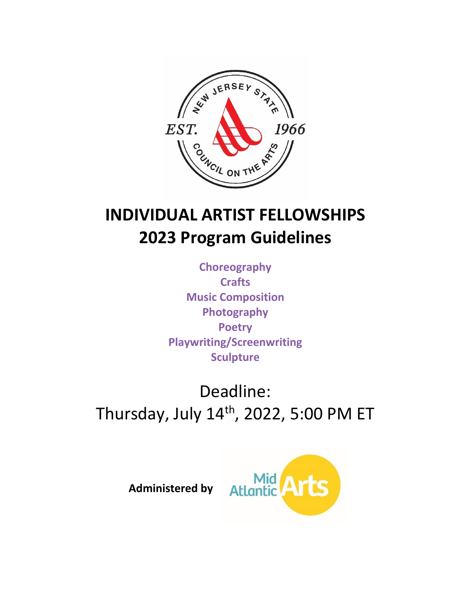

# **INDIVIDUAL ARTIST FELLOWSHIPS 2023 Program Guidelines**

**Choreography Crafts Music Composition Photography Poetry Playwriting/Screenwriting Sculpture**

Deadline: Thursday, July  $14<sup>th</sup>$ , 2022, 5:00 PM ET



**Administered by**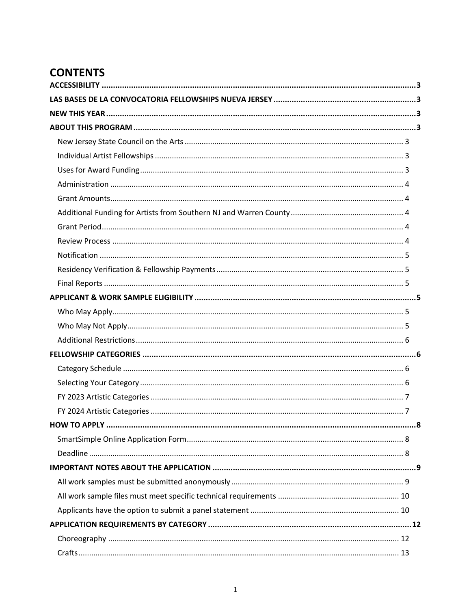# **CONTENTS**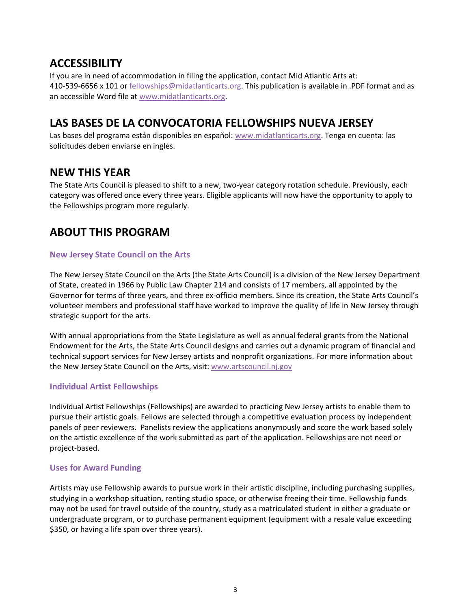### <span id="page-3-0"></span>**ACCESSIBILITY**

If you are in need of accommodation in filing the application, contact Mid Atlantic Arts at: 410-539-6656 x 101 or [fellowships@midatlanticarts.org.](mailto:fellowships@midatlanticarts.org) This publication is available in .PDF format and as an accessible Word file at [www.midatlanticarts.org.](http://www.midatlanticarts.org/)

### <span id="page-3-1"></span>**LAS BASES DE LA CONVOCATORIA FELLOWSHIPS NUEVA JERSEY**

Las bases del programa están disponibles en español: [www.midatlanticarts.org.](http://www.midatlanticarts.org/) Tenga en cuenta: las solicitudes deben enviarse en inglés.

### <span id="page-3-2"></span>**NEW THIS YEAR**

The State Arts Council is pleased to shift to a new, two-year category rotation schedule. Previously, each category was offered once every three years. Eligible applicants will now have the opportunity to apply to the Fellowships program more regularly.

### <span id="page-3-3"></span>**ABOUT THIS PROGRAM**

### <span id="page-3-4"></span>**New Jersey State Council on the Arts**

The New Jersey State Council on the Arts (the State Arts Council) is a division of the New Jersey Department of State, created in 1966 by Public Law Chapter 214 and consists of 17 members, all appointed by the Governor for terms of three years, and three ex-officio members. Since its creation, the State Arts Council's volunteer members and professional staff have worked to improve the quality of life in New Jersey through strategic support for the arts.

With annual appropriations from the State Legislature as well as annual federal grants from the National Endowment for the Arts, the State Arts Council designs and carries out a dynamic program of financial and technical support services for New Jersey artists and nonprofit organizations. For more information about the New Jersey State Council on the Arts, visit: [www.artscouncil.nj.gov](http://www.artscouncil.nj.gov/)

### <span id="page-3-5"></span>**Individual Artist Fellowships**

Individual Artist Fellowships (Fellowships) are awarded to practicing New Jersey artists to enable them to pursue their artistic goals. Fellows are selected through a competitive evaluation process by independent panels of peer reviewers. Panelists review the applications anonymously and score the work based solely on the artistic excellence of the work submitted as part of the application. Fellowships are not need or project-based.

### <span id="page-3-6"></span>**Uses for Award Funding**

Artists may use Fellowship awards to pursue work in their artistic discipline, including purchasing supplies, studying in a workshop situation, renting studio space, or otherwise freeing their time. Fellowship funds may not be used for travel outside of the country, study as a matriculated student in either a graduate or undergraduate program, or to purchase permanent equipment (equipment with a resale value exceeding \$350, or having a life span over three years).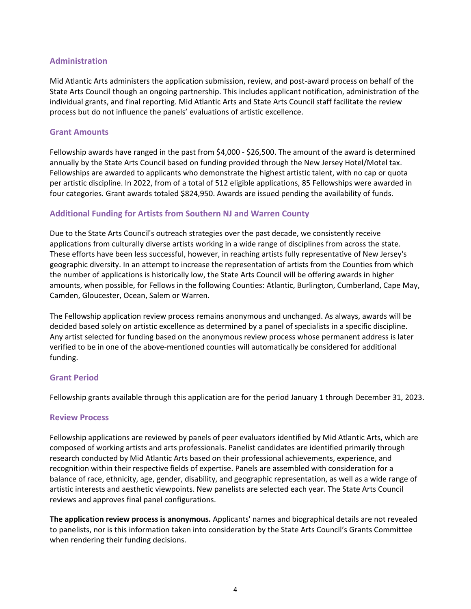### <span id="page-4-0"></span>**Administration**

Mid Atlantic Arts administers the application submission, review, and post-award process on behalf of the State Arts Council though an ongoing partnership. This includes applicant notification, administration of the individual grants, and final reporting. Mid Atlantic Arts and State Arts Council staff facilitate the review process but do not influence the panels' evaluations of artistic excellence.

#### <span id="page-4-1"></span>**Grant Amounts**

Fellowship awards have ranged in the past from \$4,000 - \$26,500. The amount of the award is determined annually by the State Arts Council based on funding provided through the New Jersey Hotel/Motel tax. Fellowships are awarded to applicants who demonstrate the highest artistic talent, with no cap or quota per artistic discipline. In 2022, from of a total of 512 eligible applications, 85 Fellowships were awarded in four categories. Grant awards totaled \$824,950. Awards are issued pending the availability of funds.

### <span id="page-4-2"></span>**Additional Funding for Artists from Southern NJ and Warren County**

Due to the State Arts Council's outreach strategies over the past decade, we consistently receive applications from culturally diverse artists working in a wide range of disciplines from across the state. These efforts have been less successful, however, in reaching artists fully representative of New Jersey's geographic diversity. In an attempt to increase the representation of artists from the Counties from which the number of applications is historically low, the State Arts Council will be offering awards in higher amounts, when possible, for Fellows in the following Counties: Atlantic, Burlington, Cumberland, Cape May, Camden, Gloucester, Ocean, Salem or Warren.

The Fellowship application review process remains anonymous and unchanged. As always, awards will be decided based solely on artistic excellence as determined by a panel of specialists in a specific discipline. Any artist selected for funding based on the anonymous review process whose permanent address is later verified to be in one of the above-mentioned counties will automatically be considered for additional funding.

### <span id="page-4-3"></span>**Grant Period**

<span id="page-4-4"></span>Fellowship grants available through this application are for the period January 1 through December 31, 2023.

### **Review Process**

Fellowship applications are reviewed by panels of peer evaluators identified by Mid Atlantic Arts, which are composed of working artists and arts professionals. Panelist candidates are identified primarily through research conducted by Mid Atlantic Arts based on their professional achievements, experience, and recognition within their respective fields of expertise. Panels are assembled with consideration for a balance of race, ethnicity, age, gender, disability, and geographic representation, as well as a wide range of artistic interests and aesthetic viewpoints. New panelists are selected each year. The State Arts Council reviews and approves final panel configurations.

**The application review process is anonymous.** Applicants' names and biographical details are not revealed to panelists, nor is this information taken into consideration by the State Arts Council's Grants Committee when rendering their funding decisions.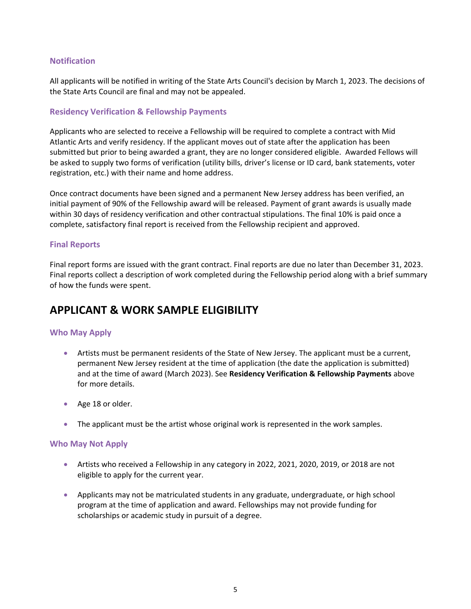### <span id="page-5-0"></span>**Notification**

All applicants will be notified in writing of the State Arts Council's decision by March 1, 2023. The decisions of the State Arts Council are final and may not be appealed.

### <span id="page-5-1"></span>**Residency Verification & Fellowship Payments**

Applicants who are selected to receive a Fellowship will be required to complete a contract with Mid Atlantic Arts and verify residency. If the applicant moves out of state after the application has been submitted but prior to being awarded a grant, they are no longer considered eligible. Awarded Fellows will be asked to supply two forms of verification (utility bills, driver's license or ID card, bank statements, voter registration, etc.) with their name and home address.

Once contract documents have been signed and a permanent New Jersey address has been verified, an initial payment of 90% of the Fellowship award will be released. Payment of grant awards is usually made within 30 days of residency verification and other contractual stipulations. The final 10% is paid once a complete, satisfactory final report is received from the Fellowship recipient and approved.

### <span id="page-5-2"></span>**Final Reports**

Final report forms are issued with the grant contract. Final reports are due no later than December 31, 2023. Final reports collect a description of work completed during the Fellowship period along with a brief summary of how the funds were spent.

### <span id="page-5-3"></span>**APPLICANT & WORK SAMPLE ELIGIBILITY**

### <span id="page-5-4"></span>**Who May Apply**

- Artists must be permanent residents of the State of New Jersey. The applicant must be a current, permanent New Jersey resident at the time of application (the date the application is submitted) and at the time of award (March 2023). See **Residency Verification & Fellowship Payments** above for more details.
- Age 18 or older.
- The applicant must be the artist whose original work is represented in the work samples.

### <span id="page-5-5"></span>**Who May Not Apply**

- Artists who received a Fellowship in any category in 2022, 2021, 2020, 2019, or 2018 are not eligible to apply for the current year.
- Applicants may not be matriculated students in any graduate, undergraduate, or high school program at the time of application and award. Fellowships may not provide funding for scholarships or academic study in pursuit of a degree.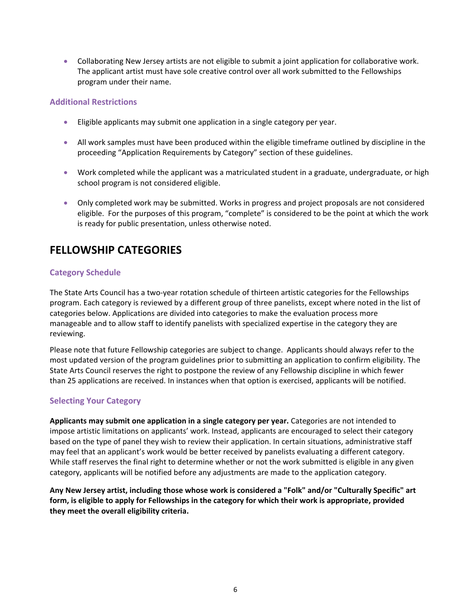• Collaborating New Jersey artists are not eligible to submit a joint application for collaborative work. The applicant artist must have sole creative control over all work submitted to the Fellowships program under their name.

### <span id="page-6-0"></span>**Additional Restrictions**

- Eligible applicants may submit one application in a single category per year.
- All work samples must have been produced within the eligible timeframe outlined by discipline in the proceeding "Application Requirements by Category" section of these guidelines.
- Work completed while the applicant was a matriculated student in a graduate, undergraduate, or high school program is not considered eligible.
- Only completed work may be submitted. Works in progress and project proposals are not considered eligible. For the purposes of this program, "complete" is considered to be the point at which the work is ready for public presentation, unless otherwise noted.

### <span id="page-6-1"></span>**FELLOWSHIP CATEGORIES**

### <span id="page-6-2"></span>**Category Schedule**

The State Arts Council has a two-year rotation schedule of thirteen artistic categories for the Fellowships program. Each category is reviewed by a different group of three panelists, except where noted in the list of categories below. Applications are divided into categories to make the evaluation process more manageable and to allow staff to identify panelists with specialized expertise in the category they are reviewing.

Please note that future Fellowship categories are subject to change. Applicants should always refer to the most updated version of the program guidelines prior to submitting an application to confirm eligibility. The State Arts Council reserves the right to postpone the review of any Fellowship discipline in which fewer than 25 applications are received. In instances when that option is exercised, applicants will be notified.

### <span id="page-6-3"></span>**Selecting Your Category**

**Applicants may submit one application in a single category per year.** Categories are not intended to impose artistic limitations on applicants' work. Instead, applicants are encouraged to select their category based on the type of panel they wish to review their application. In certain situations, administrative staff may feel that an applicant's work would be better received by panelists evaluating a different category. While staff reserves the final right to determine whether or not the work submitted is eligible in any given category, applicants will be notified before any adjustments are made to the application category.

**Any New Jersey artist, including those whose work is considered a "Folk" and/or "Culturally Specific" art form, is eligible to apply for Fellowships in the category for which their work is appropriate, provided they meet the overall eligibility criteria.**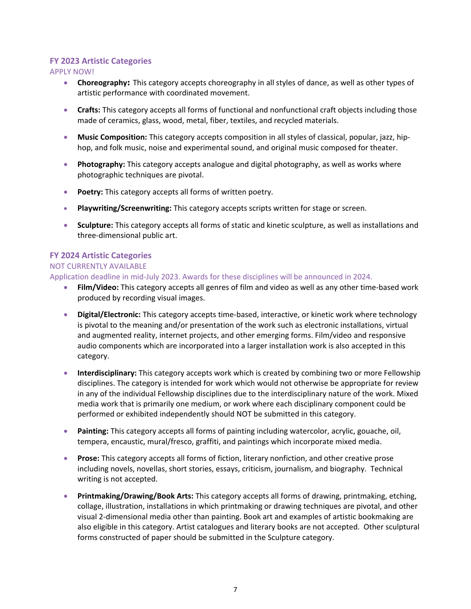### <span id="page-7-0"></span>**FY 2023 Artistic Categories**

APPLY NOW!

- **Choreography:** This category accepts choreography in all styles of dance, as well as other types of artistic performance with coordinated movement.
- **Crafts:** This category accepts all forms of functional and nonfunctional craft objects including those made of ceramics, glass, wood, metal, fiber, textiles, and recycled materials.
- **Music Composition:** This category accepts composition in all styles of classical, popular, jazz, hiphop, and folk music, noise and experimental sound, and original music composed for theater.
- **Photography:** This category accepts analogue and digital photography, as well as works where photographic techniques are pivotal.
- **Poetry:** This category accepts all forms of written poetry.
- **Playwriting/Screenwriting:** This category accepts scripts written for stage or screen.
- **Sculpture:** This category accepts all forms of static and kinetic sculpture, as well as installations and three-dimensional public art.

### <span id="page-7-1"></span>**FY 2024 Artistic Categories**

### NOT CURRENTLY AVAILABLE

Application deadline in mid-July 2023. Awards for these disciplines will be announced in 2024.

- **Film/Video:** This category accepts all genres of film and video as well as any other time-based work produced by recording visual images.
- **Digital/Electronic:** This category accepts time-based, interactive, or kinetic work where technology is pivotal to the meaning and/or presentation of the work such as electronic installations, virtual and augmented reality, internet projects, and other emerging forms. Film/video and responsive audio components which are incorporated into a larger installation work is also accepted in this category.
- **Interdisciplinary:** This category accepts work which is created by combining two or more Fellowship disciplines. The category is intended for work which would not otherwise be appropriate for review in any of the individual Fellowship disciplines due to the interdisciplinary nature of the work. Mixed media work that is primarily one medium, or work where each disciplinary component could be performed or exhibited independently should NOT be submitted in this category.
- **Painting:** This category accepts all forms of painting including watercolor, acrylic, gouache, oil, tempera, encaustic, mural/fresco, graffiti, and paintings which incorporate mixed media.
- **Prose:** This category accepts all forms of fiction, literary nonfiction, and other creative prose including novels, novellas, short stories, essays, criticism, journalism, and biography. Technical writing is not accepted.
- **Printmaking/Drawing/Book Arts:** This category accepts all forms of drawing, printmaking, etching, collage, illustration, installations in which printmaking or drawing techniques are pivotal, and other visual 2-dimensional media other than painting. Book art and examples of artistic bookmaking are also eligible in this category. Artist catalogues and literary books are not accepted. Other sculptural forms constructed of paper should be submitted in the Sculpture category.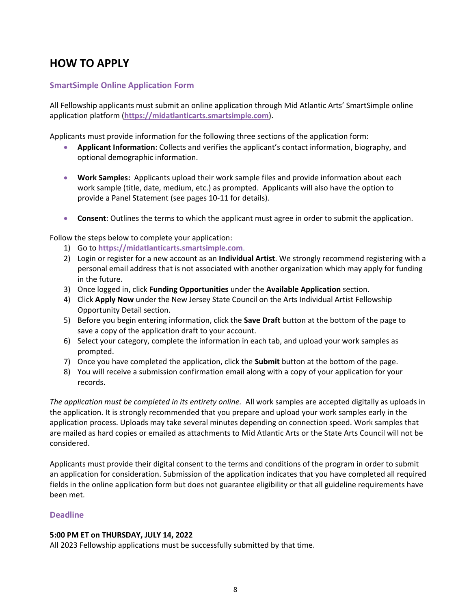### <span id="page-8-0"></span>**HOW TO APPLY**

### <span id="page-8-1"></span>**SmartSimple Online Application Form**

All Fellowship applicants must submit an online application through Mid Atlantic Arts' SmartSimple online application platform (**[https://midatlanticarts.smartsimple.com](https://midatlanticarts.smartsimple.com/)**).

Applicants must provide information for the following three sections of the application form:

- **Applicant Information**: Collects and verifies the applicant's contact information, biography, and optional demographic information.
- **Work Samples:** Applicants upload their work sample files and provide information about each work sample (title, date, medium, etc.) as prompted. Applicants will also have the option to provide a Panel Statement (see pages 10-11 for details).
- **Consent**: Outlines the terms to which the applicant must agree in order to submit the application.

Follow the steps below to complete your application:

- 1) Go to **[https://midatlanticarts.smartsimple.com](https://midatlanticarts.smartsimple.com/)**.
- 2) Login or register for a new account as an **Individual Artist**. We strongly recommend registering with a personal email address that is not associated with another organization which may apply for funding in the future.
- 3) Once logged in, click **Funding Opportunities** under the **Available Application** section.
- 4) Click **Apply Now** under the New Jersey State Council on the Arts Individual Artist Fellowship Opportunity Detail section.
- 5) Before you begin entering information, click the **Save Draft** button at the bottom of the page to save a copy of the application draft to your account.
- 6) Select your category, complete the information in each tab, and upload your work samples as prompted.
- 7) Once you have completed the application, click the **Submit** button at the bottom of the page.
- 8) You will receive a submission confirmation email along with a copy of your application for your records.

*The application must be completed in its entirety online.* All work samples are accepted digitally as uploads in the application. It is strongly recommended that you prepare and upload your work samples early in the application process. Uploads may take several minutes depending on connection speed. Work samples that are mailed as hard copies or emailed as attachments to Mid Atlantic Arts or the State Arts Council will not be considered.

Applicants must provide their digital consent to the terms and conditions of the program in order to submit an application for consideration. Submission of the application indicates that you have completed all required fields in the online application form but does not guarantee eligibility or that all guideline requirements have been met.

### <span id="page-8-2"></span>**Deadline**

### **5:00 PM ET on THURSDAY, JULY 14, 2022**

All 2023 Fellowship applications must be successfully submitted by that time.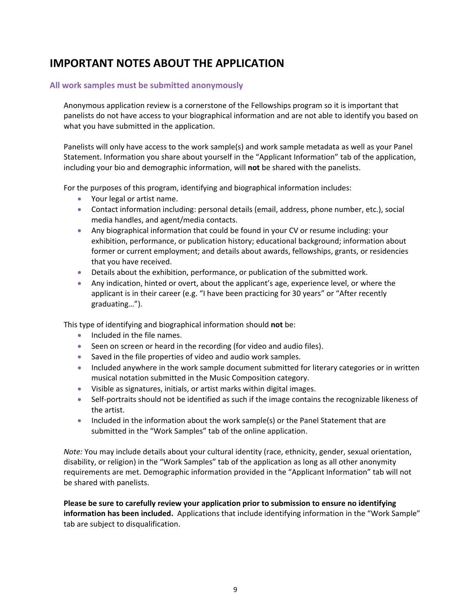### <span id="page-9-0"></span>**IMPORTANT NOTES ABOUT THE APPLICATION**

### <span id="page-9-1"></span>**All work samples must be submitted anonymously**

Anonymous application review is a cornerstone of the Fellowships program so it is important that panelists do not have access to your biographical information and are not able to identify you based on what you have submitted in the application.

Panelists will only have access to the work sample(s) and work sample metadata as well as your Panel Statement. Information you share about yourself in the "Applicant Information" tab of the application, including your bio and demographic information, will **not** be shared with the panelists.

For the purposes of this program, identifying and biographical information includes:

- Your legal or artist name.
- Contact information including: personal details (email, address, phone number, etc.), social media handles, and agent/media contacts.
- Any biographical information that could be found in your CV or resume including: your exhibition, performance, or publication history; educational background; information about former or current employment; and details about awards, fellowships, grants, or residencies that you have received.
- Details about the exhibition, performance, or publication of the submitted work.
- Any indication, hinted or overt, about the applicant's age, experience level, or where the applicant is in their career (e.g. "I have been practicing for 30 years" or "After recently graduating…").

This type of identifying and biographical information should **not** be:

- Included in the file names.
- Seen on screen or heard in the recording (for video and audio files).
- Saved in the file properties of video and audio work samples.
- Included anywhere in the work sample document submitted for literary categories or in written musical notation submitted in the Music Composition category.
- Visible as signatures, initials, or artist marks within digital images.
- Self-portraits should not be identified as such if the image contains the recognizable likeness of the artist.
- Included in the information about the work sample(s) or the Panel Statement that are submitted in the "Work Samples" tab of the online application.

*Note:* You may include details about your cultural identity (race, ethnicity, gender, sexual orientation, disability, or religion) in the "Work Samples" tab of the application as long as all other anonymity requirements are met. Demographic information provided in the "Applicant Information" tab will not be shared with panelists.

**Please be sure to carefully review your application prior to submission to ensure no identifying information has been included.** Applications that include identifying information in the "Work Sample" tab are subject to disqualification.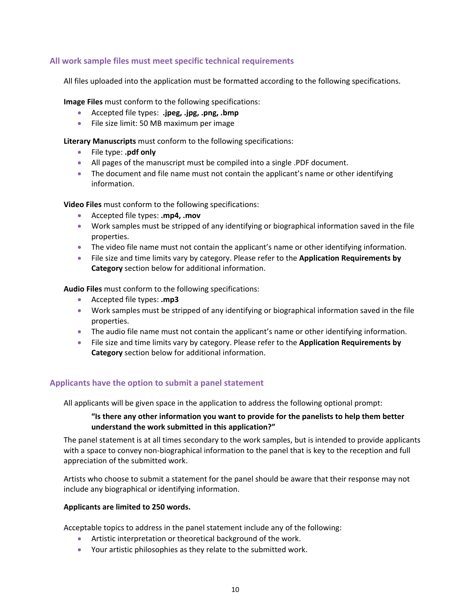### <span id="page-10-0"></span>**All work sample files must meet specific technical requirements**

All files uploaded into the application must be formatted according to the following specifications.

**Image Files** must conform to the following specifications:

- Accepted file types: **.jpeg, .jpg, .png, .bmp**
- File size limit: 50 MB maximum per image

**Literary Manuscripts** must conform to the following specifications:

- File type: **.pdf only**
- All pages of the manuscript must be compiled into a single .PDF document.
- The document and file name must not contain the applicant's name or other identifying information.

**Video Files** must conform to the following specifications:

- Accepted file types: **.mp4, .mov**
- Work samples must be stripped of any identifying or biographical information saved in the file properties.
- The video file name must not contain the applicant's name or other identifying information.
- File size and time limits vary by category. Please refer to the **Application Requirements by Category** section below for additional information.

**Audio Files** must conform to the following specifications:

- Accepted file types: **.mp3**
- Work samples must be stripped of any identifying or biographical information saved in the file properties.
- The audio file name must not contain the applicant's name or other identifying information.
- File size and time limits vary by category. Please refer to the **Application Requirements by Category** section below for additional information.

### <span id="page-10-1"></span>**Applicants have the option to submit a panel statement**

All applicants will be given space in the application to address the following optional prompt:

### **"Is there any other information you want to provide for the panelists to help them better understand the work submitted in this application?"**

The panel statement is at all times secondary to the work samples, but is intended to provide applicants with a space to convey non-biographical information to the panel that is key to the reception and full appreciation of the submitted work.

Artists who choose to submit a statement for the panel should be aware that their response may not include any biographical or identifying information.

#### **Applicants are limited to 250 words.**

Acceptable topics to address in the panel statement include any of the following:

- Artistic interpretation or theoretical background of the work.
- Your artistic philosophies as they relate to the submitted work.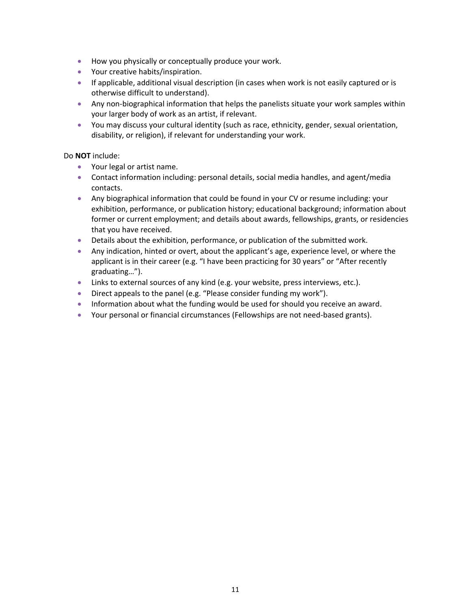- How you physically or conceptually produce your work.
- Your creative habits/inspiration.
- If applicable, additional visual description (in cases when work is not easily captured or is otherwise difficult to understand).
- Any non-biographical information that helps the panelists situate your work samples within your larger body of work as an artist, if relevant.
- You may discuss your cultural identity (such as race, ethnicity, gender, sexual orientation, disability, or religion), if relevant for understanding your work.

### Do **NOT** include:

- Your legal or artist name.
- Contact information including: personal details, social media handles, and agent/media contacts.
- Any biographical information that could be found in your CV or resume including: your exhibition, performance, or publication history; educational background; information about former or current employment; and details about awards, fellowships, grants, or residencies that you have received.
- Details about the exhibition, performance, or publication of the submitted work.
- Any indication, hinted or overt, about the applicant's age, experience level, or where the applicant is in their career (e.g. "I have been practicing for 30 years" or "After recently graduating…").
- Links to external sources of any kind (e.g. your website, press interviews, etc.).
- Direct appeals to the panel (e.g. "Please consider funding my work").
- Information about what the funding would be used for should you receive an award.
- Your personal or financial circumstances (Fellowships are not need-based grants).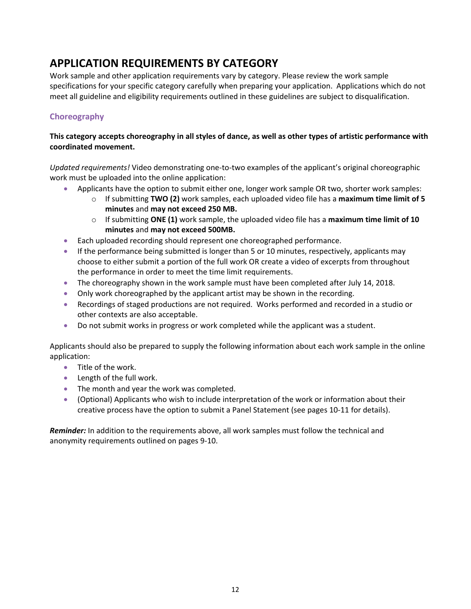## <span id="page-12-0"></span>**APPLICATION REQUIREMENTS BY CATEGORY**

Work sample and other application requirements vary by category. Please review the work sample specifications for your specific category carefully when preparing your application. Applications which do not meet all guideline and eligibility requirements outlined in these guidelines are subject to disqualification.

### <span id="page-12-1"></span>**Choreography**

### **This category accepts choreography in all styles of dance, as well as other types of artistic performance with coordinated movement.**

*Updated requirements!* Video demonstrating one-to-two examples of the applicant's original choreographic work must be uploaded into the online application:

- Applicants have the option to submit either one, longer work sample OR two, shorter work samples:
	- o If submitting **TWO (2)** work samples, each uploaded video file has a **maximum time limit of 5 minutes** and **may not exceed 250 MB.**
	- o If submitting **ONE (1)** work sample, the uploaded video file has a **maximum time limit of 10 minutes** and **may not exceed 500MB.**
- Each uploaded recording should represent one choreographed performance.
- If the performance being submitted is longer than 5 or 10 minutes, respectively, applicants may choose to either submit a portion of the full work OR create a video of excerpts from throughout the performance in order to meet the time limit requirements.
- The choreography shown in the work sample must have been completed after July 14, 2018.
- Only work choreographed by the applicant artist may be shown in the recording.
- Recordings of staged productions are not required. Works performed and recorded in a studio or other contexts are also acceptable.
- Do not submit works in progress or work completed while the applicant was a student.

Applicants should also be prepared to supply the following information about each work sample in the online application:

- Title of the work.
- Length of the full work.
- The month and year the work was completed.
- (Optional) Applicants who wish to include interpretation of the work or information about their creative process have the option to submit a Panel Statement (see pages 10-11 for details).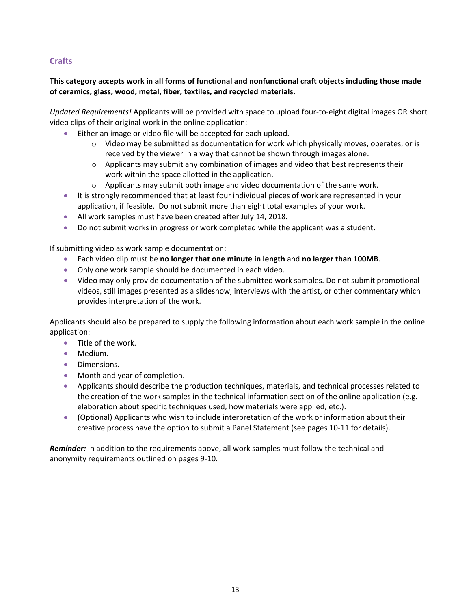### <span id="page-13-0"></span>**Crafts**

### **This category accepts work in all forms of functional and nonfunctional craft objects including those made of ceramics, glass, wood, metal, fiber, textiles, and recycled materials.**

*Updated Requirements!* Applicants will be provided with space to upload four-to-eight digital images OR short video clips of their original work in the online application:

- Either an image or video file will be accepted for each upload.
	- $\circ$  Video may be submitted as documentation for work which physically moves, operates, or is received by the viewer in a way that cannot be shown through images alone.
	- $\circ$  Applicants may submit any combination of images and video that best represents their work within the space allotted in the application.
	- $\circ$  Applicants may submit both image and video documentation of the same work.
- It is strongly recommended that at least four individual pieces of work are represented in your application, if feasible. Do not submit more than eight total examples of your work.
- All work samples must have been created after July 14, 2018.
- Do not submit works in progress or work completed while the applicant was a student.

If submitting video as work sample documentation:

- Each video clip must be **no longer that one minute in length** and **no larger than 100MB**.
- Only one work sample should be documented in each video.
- Video may only provide documentation of the submitted work samples. Do not submit promotional videos, still images presented as a slideshow, interviews with the artist, or other commentary which provides interpretation of the work.

Applicants should also be prepared to supply the following information about each work sample in the online application:

- Title of the work.
- Medium.
- Dimensions.
- Month and year of completion.
- Applicants should describe the production techniques, materials, and technical processes related to the creation of the work samples in the technical information section of the online application (e.g. elaboration about specific techniques used, how materials were applied, etc.).
- (Optional) Applicants who wish to include interpretation of the work or information about their creative process have the option to submit a Panel Statement (see pages 10-11 for details).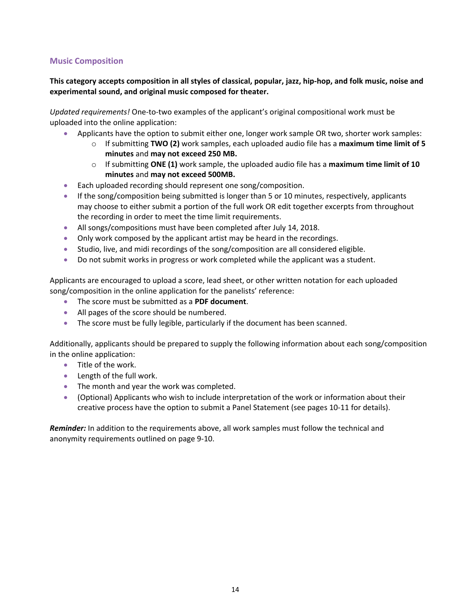### <span id="page-14-0"></span>**Music Composition**

### **This category accepts composition in all styles of classical, popular, jazz, hip-hop, and folk music, noise and experimental sound, and original music composed for theater.**

*Updated requirements!* One-to-two examples of the applicant's original compositional work must be uploaded into the online application:

- Applicants have the option to submit either one, longer work sample OR two, shorter work samples:
	- o If submitting **TWO (2)** work samples, each uploaded audio file has a **maximum time limit of 5 minutes** and **may not exceed 250 MB.**
	- o If submitting **ONE (1)** work sample, the uploaded audio file has a **maximum time limit of 10 minutes** and **may not exceed 500MB.**
- Each uploaded recording should represent one song/composition.
- If the song/composition being submitted is longer than 5 or 10 minutes, respectively, applicants may choose to either submit a portion of the full work OR edit together excerpts from throughout the recording in order to meet the time limit requirements.
- All songs/compositions must have been completed after July 14, 2018.
- Only work composed by the applicant artist may be heard in the recordings.
- Studio, live, and midi recordings of the song/composition are all considered eligible.
- Do not submit works in progress or work completed while the applicant was a student.

Applicants are encouraged to upload a score, lead sheet, or other written notation for each uploaded song/composition in the online application for the panelists' reference:

- The score must be submitted as a **PDF document**.
- All pages of the score should be numbered.
- The score must be fully legible, particularly if the document has been scanned.

Additionally, applicants should be prepared to supply the following information about each song/composition in the online application:

- Title of the work.
- Length of the full work.
- The month and year the work was completed.
- (Optional) Applicants who wish to include interpretation of the work or information about their creative process have the option to submit a Panel Statement (see pages 10-11 for details).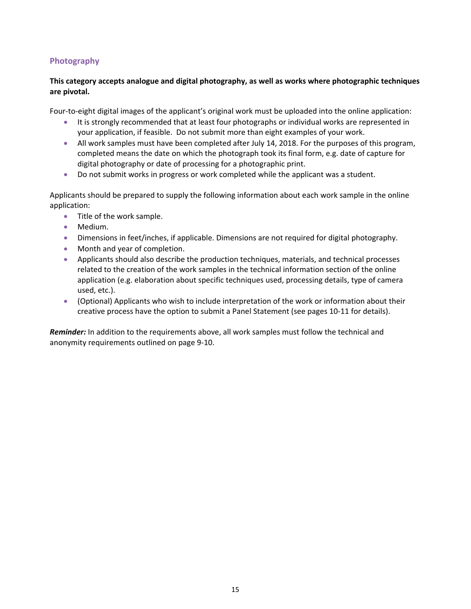### <span id="page-15-0"></span>**Photography**

### **This category accepts analogue and digital photography, as well as works where photographic techniques are pivotal.**

Four-to-eight digital images of the applicant's original work must be uploaded into the online application:

- It is strongly recommended that at least four photographs or individual works are represented in your application, if feasible. Do not submit more than eight examples of your work.
- All work samples must have been completed after July 14, 2018. For the purposes of this program, completed means the date on which the photograph took its final form, e.g. date of capture for digital photography or date of processing for a photographic print.
- Do not submit works in progress or work completed while the applicant was a student.

Applicants should be prepared to supply the following information about each work sample in the online application:

- Title of the work sample.
- Medium.
- Dimensions in feet/inches, if applicable. Dimensions are not required for digital photography.
- Month and year of completion.
- Applicants should also describe the production techniques, materials, and technical processes related to the creation of the work samples in the technical information section of the online application (e.g. elaboration about specific techniques used, processing details, type of camera used, etc.).
- (Optional) Applicants who wish to include interpretation of the work or information about their creative process have the option to submit a Panel Statement (see pages 10-11 for details).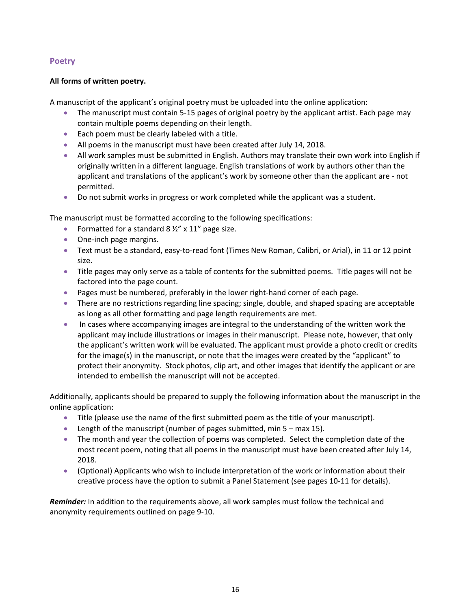### <span id="page-16-0"></span>**Poetry**

### **All forms of written poetry.**

A manuscript of the applicant's original poetry must be uploaded into the online application:

- The manuscript must contain 5-15 pages of original poetry by the applicant artist. Each page may contain multiple poems depending on their length.
- Each poem must be clearly labeled with a title.
- All poems in the manuscript must have been created after July 14, 2018.
- All work samples must be submitted in English. Authors may translate their own work into English if originally written in a different language. English translations of work by authors other than the applicant and translations of the applicant's work by someone other than the applicant are - not permitted.
- Do not submit works in progress or work completed while the applicant was a student.

The manuscript must be formatted according to the following specifications:

- Formatted for a standard  $8\frac{1}{2}$ " x 11" page size.
- One-inch page margins.
- Text must be a standard, easy-to-read font (Times New Roman, Calibri, or Arial), in 11 or 12 point size.
- Title pages may only serve as a table of contents for the submitted poems. Title pages will not be factored into the page count.
- Pages must be numbered, preferably in the lower right-hand corner of each page.
- There are no restrictions regarding line spacing; single, double, and shaped spacing are acceptable as long as all other formatting and page length requirements are met.
- In cases where accompanying images are integral to the understanding of the written work the applicant may include illustrations or images in their manuscript. Please note, however, that only the applicant's written work will be evaluated. The applicant must provide a photo credit or credits for the image(s) in the manuscript, or note that the images were created by the "applicant" to protect their anonymity. Stock photos, clip art, and other images that identify the applicant or are intended to embellish the manuscript will not be accepted.

Additionally, applicants should be prepared to supply the following information about the manuscript in the online application:

- Title (please use the name of the first submitted poem as the title of your manuscript).
- Length of the manuscript (number of pages submitted, min 5 max 15).
- The month and year the collection of poems was completed. Select the completion date of the most recent poem, noting that all poems in the manuscript must have been created after July 14, 2018.
- (Optional) Applicants who wish to include interpretation of the work or information about their creative process have the option to submit a Panel Statement (see pages 10-11 for details).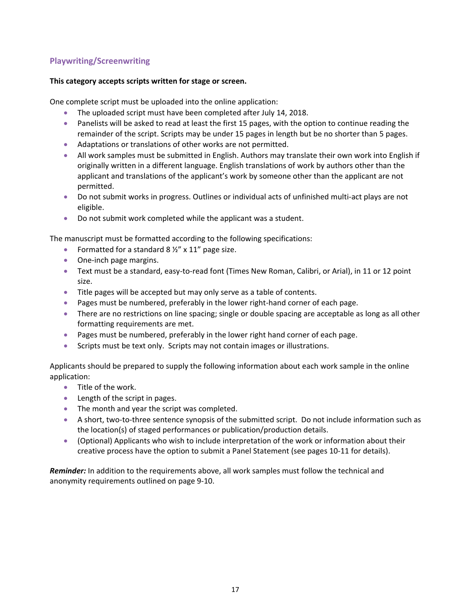### <span id="page-17-0"></span>**Playwriting/Screenwriting**

#### **This category accepts scripts written for stage or screen.**

One complete script must be uploaded into the online application:

- The uploaded script must have been completed after July 14, 2018.
- Panelists will be asked to read at least the first 15 pages, with the option to continue reading the remainder of the script. Scripts may be under 15 pages in length but be no shorter than 5 pages.
- Adaptations or translations of other works are not permitted.
- All work samples must be submitted in English. Authors may translate their own work into English if originally written in a different language. English translations of work by authors other than the applicant and translations of the applicant's work by someone other than the applicant are not permitted.
- Do not submit works in progress. Outlines or individual acts of unfinished multi-act plays are not eligible.
- Do not submit work completed while the applicant was a student.

The manuscript must be formatted according to the following specifications:

- Formatted for a standard  $8\frac{1}{2}$ " x 11" page size.
- One-inch page margins.
- Text must be a standard, easy-to-read font (Times New Roman, Calibri, or Arial), in 11 or 12 point size.
- Title pages will be accepted but may only serve as a table of contents.
- Pages must be numbered, preferably in the lower right-hand corner of each page.
- There are no restrictions on line spacing; single or double spacing are acceptable as long as all other formatting requirements are met.
- Pages must be numbered, preferably in the lower right hand corner of each page.
- Scripts must be text only. Scripts may not contain images or illustrations.

Applicants should be prepared to supply the following information about each work sample in the online application:

- Title of the work.
- Length of the script in pages.
- The month and year the script was completed.
- A short, two-to-three sentence synopsis of the submitted script. Do not include information such as the location(s) of staged performances or publication/production details.
- (Optional) Applicants who wish to include interpretation of the work or information about their creative process have the option to submit a Panel Statement (see pages 10-11 for details).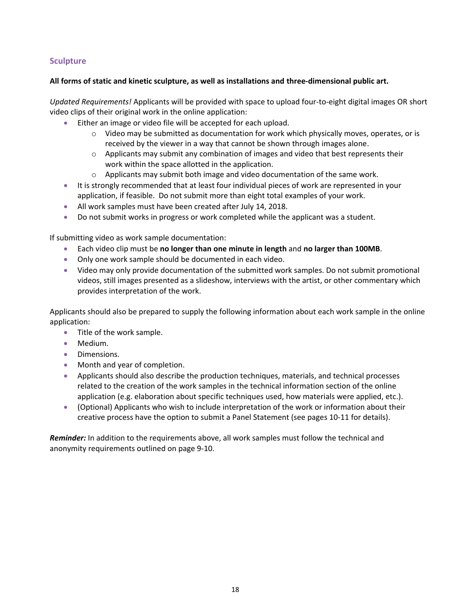### <span id="page-18-0"></span>**Sculpture**

### **All forms of static and kinetic sculpture, as well as installations and three-dimensional public art.**

*Updated Requirements!* Applicants will be provided with space to upload four-to-eight digital images OR short video clips of their original work in the online application:

- Either an image or video file will be accepted for each upload.
	- $\circ$  Video may be submitted as documentation for work which physically moves, operates, or is received by the viewer in a way that cannot be shown through images alone.
	- $\circ$  Applicants may submit any combination of images and video that best represents their work within the space allotted in the application.
	- $\circ$  Applicants may submit both image and video documentation of the same work.
- It is strongly recommended that at least four individual pieces of work are represented in your application, if feasible. Do not submit more than eight total examples of your work.
- All work samples must have been created after July 14, 2018.
- Do not submit works in progress or work completed while the applicant was a student.

If submitting video as work sample documentation:

- Each video clip must be **no longer than one minute in length** and **no larger than 100MB**.
- Only one work sample should be documented in each video.
- Video may only provide documentation of the submitted work samples. Do not submit promotional videos, still images presented as a slideshow, interviews with the artist, or other commentary which provides interpretation of the work.

Applicants should also be prepared to supply the following information about each work sample in the online application:

- Title of the work sample.
- Medium.
- Dimensions.
- Month and year of completion.
- Applicants should also describe the production techniques, materials, and technical processes related to the creation of the work samples in the technical information section of the online application (e.g. elaboration about specific techniques used, how materials were applied, etc.).
- (Optional) Applicants who wish to include interpretation of the work or information about their creative process have the option to submit a Panel Statement (see pages 10-11 for details).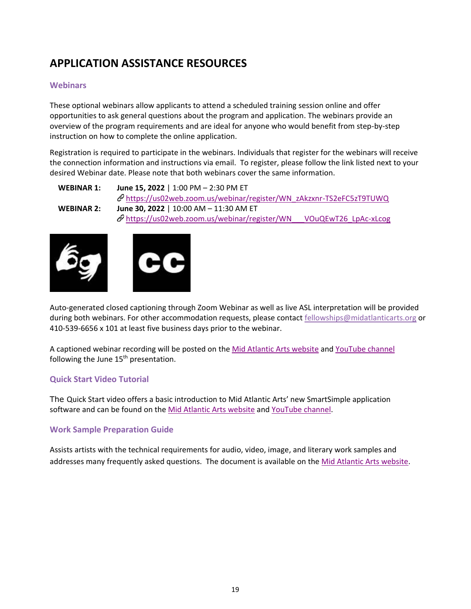# <span id="page-19-0"></span>**APPLICATION ASSISTANCE RESOURCES**

### <span id="page-19-1"></span>**Webinars**

These optional webinars allow applicants to attend a scheduled training session online and offer opportunities to ask general questions about the program and application. The webinars provide an overview of the program requirements and are ideal for anyone who would benefit from step-by-step instruction on how to complete the online application.

Registration is required to participate in the webinars. Individuals that register for the webinars will receive the connection information and instructions via email. To register, please follow the link listed next to your desired Webinar date. Please note that both webinars cover the same information.

```
WEBINAR 1: June 15, 2022 | 1:00 PM – 2:30 PM ET
              https://us02web.zoom.us/webinar/register/WN_zAkzxnr-TS2eFC5zT9TUWQ
WEBINAR 2: June 30, 2022 | 10:00 AM – 11:30 AM ET
              \mathscr{O}https://us02web.zoom.us/webinar/register/WN___VOuQEwT26_LpAc-xLcog
```




Auto-generated closed captioning through Zoom Webinar as well as live ASL interpretation will be provided during both webinars. For other accommodation requests, please contact [fellowships@midatlanticarts.org](mailto:fellowships@midatlanticarts.org) or 410-539-6656 x 101 at least five business days prior to the webinar.

A captioned webinar recording will be posted on th[e Mid Atlantic Arts website](https://www.midatlanticarts.org/grants-programs/grants-for-artists/#state-fellowships&tab=2) and [YouTube channel](https://www.youtube.com/user/MidArts) following the June  $15<sup>th</sup>$  presentation.

### <span id="page-19-2"></span>**Quick Start Video Tutorial**

The Quick Start video offers a basic introduction to Mid Atlantic Arts' new SmartSimple application software and can be found on th[e Mid Atlantic Arts website](https://www.midatlanticarts.org/grants-programs/grants-for-artists/#state-fellowships&tab=2) and [YouTube channel.](https://www.youtube.com/user/MidArts)

### <span id="page-19-3"></span>**Work Sample Preparation Guide**

Assists artists with the technical requirements for audio, video, image, and literary work samples and addresses many frequently asked questions. The document is available on the [Mid Atlantic Arts website.](https://www.midatlanticarts.org/grants-programs/grants-for-artists/#state-fellowships&tab=2)